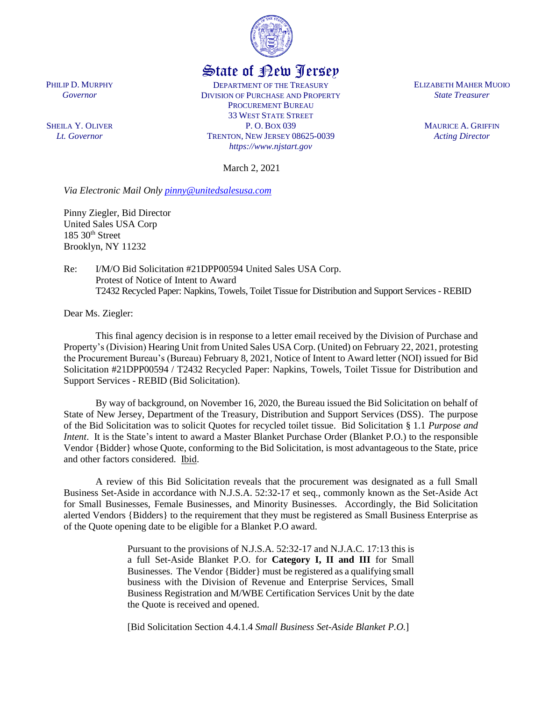

## State of New Jersey

DEPARTMENT OF THE TREASURY DIVISION OF PURCHASE AND PROPERTY PROCUREMENT BUREAU 33 WEST STATE STREET P. O. BOX 039 TRENTON, NEW JERSEY 08625-0039 *https://www.njstart.gov*

March 2, 2021

*Via Electronic Mail Only [pinny@unitedsalesusa.com](mailto:pinny@unitedsalesusa.com)*

Pinny Ziegler, Bid Director United Sales USA Corp  $185$   $30<sup>th</sup>$  Street Brooklyn, NY 11232

PHILIP D. MURPHY *Governor*

SHEILA Y. OLIVER *Lt. Governor*

> Re: I/M/O Bid Solicitation #21DPP00594 United Sales USA Corp. Protest of Notice of Intent to Award T2432 Recycled Paper: Napkins, Towels, Toilet Tissue for Distribution and Support Services - REBID

Dear Ms. Ziegler:

This final agency decision is in response to a letter email received by the Division of Purchase and Property's (Division) Hearing Unit from United Sales USA Corp. (United) on February 22, 2021, protesting the Procurement Bureau's (Bureau) February 8, 2021, Notice of Intent to Award letter (NOI) issued for Bid Solicitation #21DPP00594 / T2432 Recycled Paper: Napkins, Towels, Toilet Tissue for Distribution and Support Services - REBID (Bid Solicitation).

By way of background, on November 16, 2020, the Bureau issued the Bid Solicitation on behalf of State of New Jersey, Department of the Treasury, Distribution and Support Services (DSS). The purpose of the Bid Solicitation was to solicit Quotes for recycled toilet tissue. Bid Solicitation § 1.1 *Purpose and Intent*. It is the State's intent to award a Master Blanket Purchase Order (Blanket P.O.) to the responsible Vendor {Bidder} whose Quote, conforming to the Bid Solicitation, is most advantageous to the State, price and other factors considered. Ibid.

A review of this Bid Solicitation reveals that the procurement was designated as a full Small Business Set-Aside in accordance with N.J.S.A. 52:32-17 et seq., commonly known as the Set-Aside Act for Small Businesses, Female Businesses, and Minority Businesses. Accordingly, the Bid Solicitation alerted Vendors {Bidders} to the requirement that they must be registered as Small Business Enterprise as of the Quote opening date to be eligible for a Blanket P.O award.

> Pursuant to the provisions of N.J.S.A. 52:32-17 and N.J.A.C. 17:13 this is a full Set-Aside Blanket P.O. for **Category I, II and III** for Small Businesses. The Vendor {Bidder} must be registered as a qualifying small business with the Division of Revenue and Enterprise Services, Small Business Registration and M/WBE Certification Services Unit by the date the Quote is received and opened.

[Bid Solicitation Section 4.4.1.4 *Small Business Set-Aside Blanket P.O.*]

ELIZABETH MAHER MUOIO *State Treasurer*

> MAURICE A. GRIFFIN *Acting Director*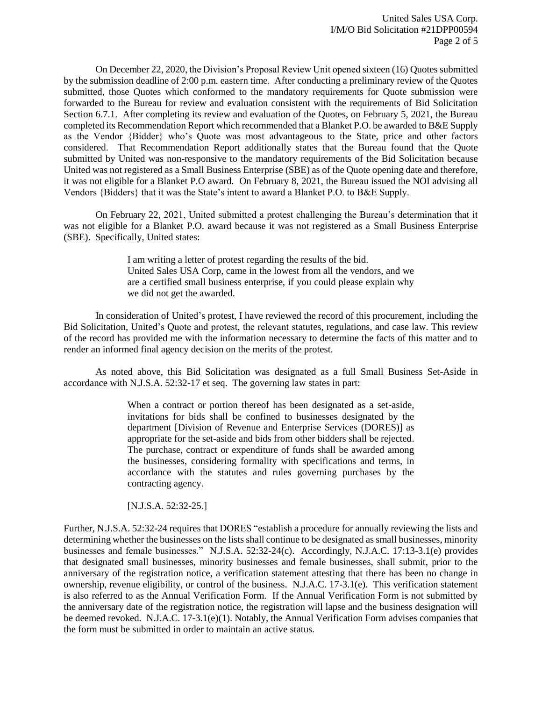On December 22, 2020, the Division's Proposal Review Unit opened sixteen (16) Quotes submitted by the submission deadline of 2:00 p.m. eastern time. After conducting a preliminary review of the Quotes submitted, those Quotes which conformed to the mandatory requirements for Quote submission were forwarded to the Bureau for review and evaluation consistent with the requirements of Bid Solicitation Section 6.7.1. After completing its review and evaluation of the Quotes, on February 5, 2021, the Bureau completed its Recommendation Report which recommended that a Blanket P.O. be awarded to B&E Supply as the Vendor {Bidder} who's Quote was most advantageous to the State, price and other factors considered. That Recommendation Report additionally states that the Bureau found that the Quote submitted by United was non-responsive to the mandatory requirements of the Bid Solicitation because United was not registered as a Small Business Enterprise (SBE) as of the Quote opening date and therefore, it was not eligible for a Blanket P.O award. On February 8, 2021, the Bureau issued the NOI advising all Vendors {Bidders} that it was the State's intent to award a Blanket P.O. to B&E Supply.

On February 22, 2021, United submitted a protest challenging the Bureau's determination that it was not eligible for a Blanket P.O. award because it was not registered as a Small Business Enterprise (SBE). Specifically, United states:

> I am writing a letter of protest regarding the results of the bid. United Sales USA Corp, came in the lowest from all the vendors, and we are a certified small business enterprise, if you could please explain why we did not get the awarded.

In consideration of United's protest, I have reviewed the record of this procurement, including the Bid Solicitation, United's Quote and protest, the relevant statutes, regulations, and case law. This review of the record has provided me with the information necessary to determine the facts of this matter and to render an informed final agency decision on the merits of the protest.

As noted above, this Bid Solicitation was designated as a full Small Business Set-Aside in accordance with N.J.S.A. 52:32-17 et seq. The governing law states in part:

> When a contract or portion thereof has been designated as a set-aside, invitations for bids shall be confined to businesses designated by the department [Division of Revenue and Enterprise Services (DORES)] as appropriate for the set-aside and bids from other bidders shall be rejected. The purchase, contract or expenditure of funds shall be awarded among the businesses, considering formality with specifications and terms, in accordance with the statutes and rules governing purchases by the contracting agency.

[N.J.S.A. 52:32-25.]

Further, N.J.S.A. 52:32-24 requires that DORES "establish a procedure for annually reviewing the lists and determining whether the businesses on the lists shall continue to be designated as small businesses, minority businesses and female businesses." N.J.S.A. 52:32-24(c). Accordingly, N.J.A.C. 17:13-3.1(e) provides that designated small businesses, minority businesses and female businesses, shall submit, prior to the anniversary of the registration notice, a verification statement attesting that there has been no change in ownership, revenue eligibility, or control of the business. N.J.A.C. 17-3.1(e). This verification statement is also referred to as the Annual Verification Form. If the Annual Verification Form is not submitted by the anniversary date of the registration notice, the registration will lapse and the business designation will be deemed revoked. N.J.A.C. 17-3.1(e)(1). Notably, the Annual Verification Form advises companies that the form must be submitted in order to maintain an active status.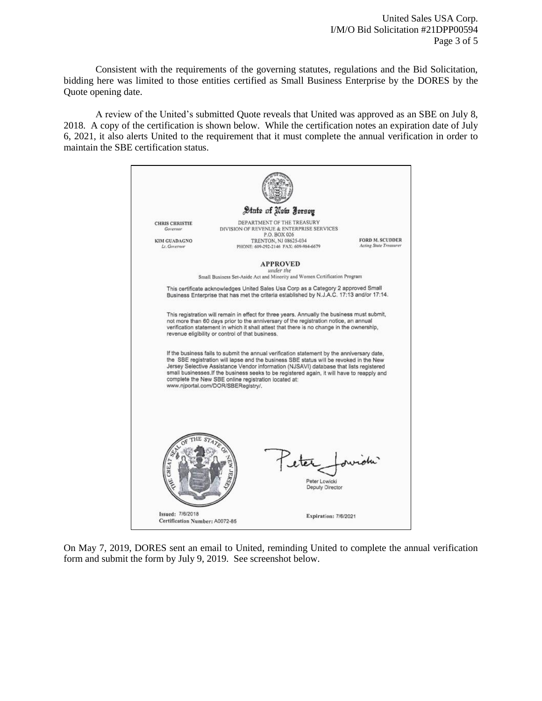Consistent with the requirements of the governing statutes, regulations and the Bid Solicitation, bidding here was limited to those entities certified as Small Business Enterprise by the DORES by the Quote opening date.

A review of the United's submitted Quote reveals that United was approved as an SBE on July 8, 2018. A copy of the certification is shown below. While the certification notes an expiration date of July 6, 2021, it also alerts United to the requirement that it must complete the annual verification in order to maintain the SBE certification status.



On May 7, 2019, DORES sent an email to United, reminding United to complete the annual verification form and submit the form by July 9, 2019. See screenshot below.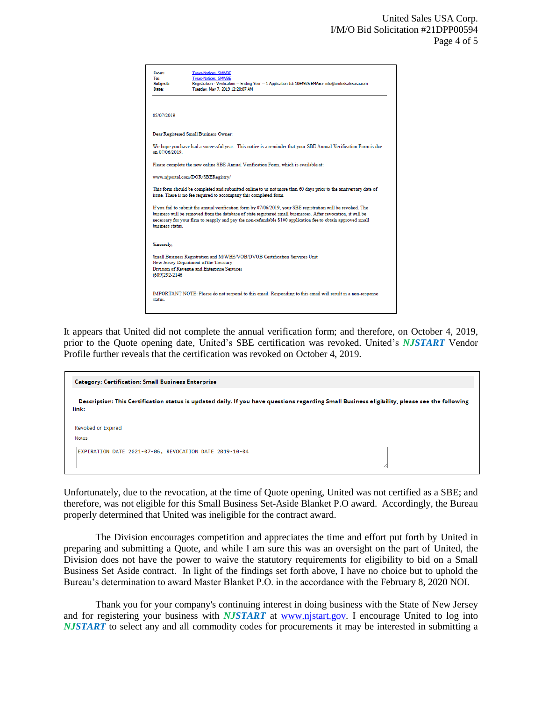| From:<br>Tot<br>Subject:<br>Date:                                                                                                                                                                                                                                                                                                                                | <b>Treas-Notices, SMWBE</b><br><b>Treas-Notices, SMWBE</b><br>Registration - Verification -- Ending Year -- 1 Application Id: 1064925 EMA=> info@unitedsalesusa.com<br>Tuesday, May 7, 2019 12:20:07 AM |
|------------------------------------------------------------------------------------------------------------------------------------------------------------------------------------------------------------------------------------------------------------------------------------------------------------------------------------------------------------------|---------------------------------------------------------------------------------------------------------------------------------------------------------------------------------------------------------|
| 05/07/2019                                                                                                                                                                                                                                                                                                                                                       |                                                                                                                                                                                                         |
|                                                                                                                                                                                                                                                                                                                                                                  | Dear Registered Small Business Owner:                                                                                                                                                                   |
| We hope you have had a successful year. This notice is a reminder that your SBE Annual Verification Form is due<br>on 07/06/2019                                                                                                                                                                                                                                 |                                                                                                                                                                                                         |
| Please complete the new online SBE Annual Verification Form, which is available at:                                                                                                                                                                                                                                                                              |                                                                                                                                                                                                         |
| www.njportal.com/DOR/SBERegistry/                                                                                                                                                                                                                                                                                                                                |                                                                                                                                                                                                         |
| This form should be completed and submitted online to us not more than 60 days prior to the anniversary date of<br>issue. There is no fee required to accompany this completed form.                                                                                                                                                                             |                                                                                                                                                                                                         |
| If you fail to submit the annual verification form by 07/06/2019, your SBE registration will be revoked. The<br>business will be removed from the database of state registered small businesses. After revocation, it will be<br>necessary for your firm to reapply and pay the non-refundable \$100 application fee to obtain approved small<br>business status |                                                                                                                                                                                                         |
| Sincerely,                                                                                                                                                                                                                                                                                                                                                       |                                                                                                                                                                                                         |
| Small Business Registration and M/WBE/VOB/DVOB Certification Services Unit<br>New Jersey Department of the Treasury<br>Division of Revenue and Enterprise Services<br>(609)292-2146                                                                                                                                                                              |                                                                                                                                                                                                         |
| IMPORTANT NOTE: Please do not respond to this email. Responding to this email will result in a non-response<br>status.                                                                                                                                                                                                                                           |                                                                                                                                                                                                         |

It appears that United did not complete the annual verification form; and therefore, on October 4, 2019, prior to the Quote opening date, United's SBE certification was revoked. United's *NJSTART* Vendor Profile further reveals that the certification was revoked on October 4, 2019.



Unfortunately, due to the revocation, at the time of Quote opening, United was not certified as a SBE; and therefore, was not eligible for this Small Business Set-Aside Blanket P.O award. Accordingly, the Bureau properly determined that United was ineligible for the contract award.

The Division encourages competition and appreciates the time and effort put forth by United in preparing and submitting a Quote, and while I am sure this was an oversight on the part of United, the Division does not have the power to waive the statutory requirements for eligibility to bid on a Small Business Set Aside contract. In light of the findings set forth above, I have no choice but to uphold the Bureau's determination to award Master Blanket P.O. in the accordance with the February 8, 2020 NOI.

Thank you for your company's continuing interest in doing business with the State of New Jersey and for registering your business with *NJSTART* at [www.njstart.gov.](http://www.njstart.gov/) I encourage United to log into *NJSTART* to select any and all commodity codes for procurements it may be interested in submitting a